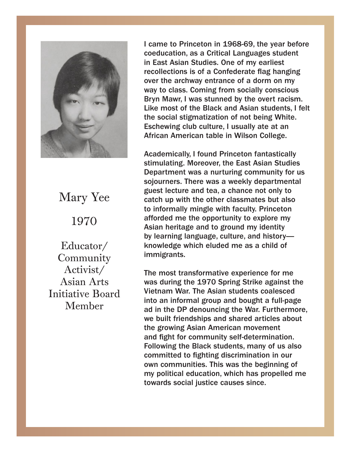

Mary Yee 1970  $1070$ 1970

Educator/ Community Activist/ Asian Arts Initiative Board Member  $\text{Commutivity}$ 

I came to Princeton in 1968-69, the year before coeducation, as a Critical Languages student East Asian Studies. One of my earliest in East Asian Studies. One of my earliest recollections is of a comederate hag hanging<br>over the archway entrance of a dorm on my over the archway entrance of a dorm on my way way to class. Coming from socially conscious na, to class. Coming from socially conscious.<br>Bryn Mawr, I was stunned by the overt racism. Like most of the Black and Asian students, I felt the social stigmatization of not being White. Eschewing club culture, I usually ate at an African American table in Wilson College. recollections is of a Confederate flag hanging

African American table in Wilson College. stimulating. Moreover, the East Asian Studies<br>Department was a numbulat community fan us bepartment was a nurturing community for us<br>sojourners. There was a weekly departmental begourners. There was a workly adpartmental<br>guest lecture and tea, a chance not only to gave constant matrix, a chance we can, in the constant of the catch up with the other classmates but also to informally mingle with faculty. Princeton afforded me the opportunity to explore my Asian heritage and to ground my identity by learning language, culture, and history knowledge which eluded me as a child of immigrants. Academically, I found Princeton fantastically Department was a nurturing community for us

knowledge which electronic provision of the measure of the measure of the measure of the measure of the measure of the measure of the measure of the measure of the measure of the measure of the measure of the measure of th The most transformative experience for the<br>was during the 1970 Spring Strike against the The main transformation concerned the contractor of the method of methods in the method of methods in the methods of the methods of the methods of the methods of the methods of the methods of the methods of the methods of ad in the DP denouncing the War. Furthermore, we built friendships and shared articles about the growing Asian American movement and fight for community self-determination. Following the Black students, many of us also  $\text{committed to fighting discrimination in our}$ own communities. This was the beginning of<br>my nelities! oducation. which has needed to r political cuucation, which has propened me<br>wards social instice causes since committed to fighting discrimination in our own The most transformative experience for me Vietnam War. The Asian students coalesced my political education, which has propelled me towards social justice causes since.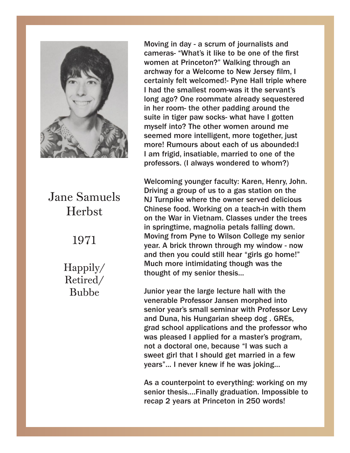

Herbst Jane Samuels

> $H_{\text{H}_\text{C}}$ 1971 1971

Retired/ Bubbe Bubbe Happily/

Moving in day - a scrum of journalists and Moving in day - a scrum of journalists and cameras- "What's it like to be one of the first cameras- "What's it like to be one of the first women at Princeton?" Walking through an women at Princeton?" Walking through an archway for a Welcome to New Jersey film, I archway for a Welcome to New Jersey film, I certainly felt welcomed!- Pyne Hall triple where I had the smallest room-was it the servant's I had the smallest room-was it the servants<br>long ago? One roommate already sequestered in her room- the other padding around the suite in tiger paw socks- what have I gotten myself into? The other women around me seemed more intelligent, more together, just more! Rumours about each of us abounded:I I am frigid, insatiable, married to one of the professors. (I always wondered to whom?) certainly felt welcomed!- Pyne Hall triple where

Welcoming younger faculty: Karen, Henry, John. NJ Turnpike where the owner served delicious Chinese food. Working on a teach-in with them on the War in Vietnam. Classes under the trees in springtime, magnolia petals falling down. Moving from Pyne to Wilson College my senior<br>vees A briek thrown through my window now yeal. A blick thrown through my white we how<br>and then you could still hear "girls go home!" and them you could can hear gine go hermore and the Much more intimidating though was the thought of my senior thesis... $\Box$ and then you could still hear "girls go home!" Driving a group of us to a gas station on the year. A brick thrown through my window - now

Junior year the large lecture hall with the venerable Professor Jansen morphed into J Duna, nis nunganan sneep dog . GRES,<br>d cehool ennligations and the nrefeccer who grad senoor applications and the professor who<br>was pleased I applied for a master's program, senior year's seminar with Program,<br>not a doctoral one, because "I was such a sweet girl that I should get married in a few years"... I never knew if he was joking... senior year's small seminar with Professor Levy and Duna, his Hungarian sheep dog . GREs, grad school applications and the professor who

As a counterpoint to everything: working on my senior thesis....Finally graduation. Impossible to recap 2 years at Princeton in 250 words!

was pleased in the pleased in the program, and the program, and the program, and the program, and the program,

As a counterpoint to everything: working on my senior thesis....Finally graduation. Impossible to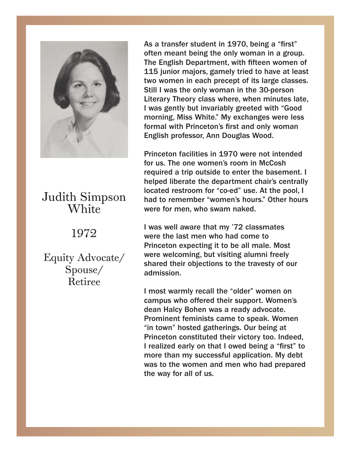

## Judith Simpson Judith Simpson White

#### $19/2$ 1972

Equity Advocate/ Equity Advocate/ Spouse/ Retiree

As a transfer student in 1970, being a "first" As a transfer student in 1970, being a "first" often meant being the only woman in a group. often meant being the only woman in a group. The English Department, with fifteen women of 115 junior majors, gamely tried to have at least 115 junior majors, gamely tried to have at least two women in each precept of its large classes. Still I was the only woman in the 30-person Still I was the only woman in the 30-person Literary Theory class where, when minutes late, I was gently but invariably greeted with "Good morning, Miss White." My exchanges were less formal with Princeton's first and only woman English professor, Ann Douglas Wood. two women in each precept of its large classes.

English professor, Ann Douglas Wood. us. The one women's foom in Niccosity and the second internal process of the second internal process in the second internal process of the second internal process of the second internal process of the second internal proce required a trip outside to enter the basement. I<br>helped liberate the department chair's centrally noiped inserate the department end is contrainy<br>located restroom for "co-ed" use. At the pool, I had to remember "women's hours." Other hours were for men, who swam naked.  $\blacksquare$ Princeton facilities in 1970 were not intended for us. The one women's room in McCosh required a trip outside to enter the basement. I

I was well aware that my '72 classmates Princeton expecting it to be all male. Most were welcoming, but visiting alumni freely<br>shared their shiestians to the travesty of surshared their objections to the travesty of our<br>admission we have visiting alumni free  $\mathbb{R}^n$  shared alumni free lying alumni free lying  $\mathbb{R}^n$ were the last men who had come to admission.

I most warmly recall the "older" women on campus who offered their support. Women's Prominent feminists came to speak. Women "in town" hosted gatherings. Our being at Princeton constituted their victory too. Indeed, I realized early on that I owed being a "first" to **speaker.** We speak to the speak. more than my successial application. My debt<br>was to the women and men who had prepared has to the women and men who had properties.<br>the way for all of us. realized early on that I owed being a "first" to dean Halcy Bohen was a ready advocate. more than my successful application. My debt

more than my successful application. My debt was to the women and men who had prepared who had prepared with the women who had prepared with the second pre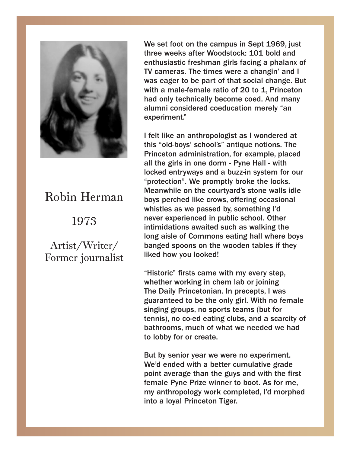

### Robin Herman Robin Herman 1973

1973

Former journalist Artist/Writer/

We set foot on the campus in Sept 1969, just We set foot on the campus in Sept 1969, just three weeks after Woodstock: 101 bold and three weeks after Woodstock: 101 bold and enthusiastic freshman girls facing a phalanx of enthusiastic freshman girls facing a phalanx of TV cameras. The times were a changin' and I TV cameras. The times were a changin' and I was eager to be part of that social change. But was eager to be part of that social change. But with a male-female ratio of 20 to 1, Princeton with a male-female ratio of 20 to 1, Princeton had only technically become coed. And many had only technically become coed. And many alumni considered coeducation merely "an alumni considered coeducation merely "an experiment." experiment."

I felt like an anthropologist as I wondered at I felt like an anthropologist as I wondered at this "old-boys' school's" antique notions. The this "old-boys' school's" antique notions. The Princeton administration, for example, placed Princeton administration, for example, placed all the girls in one dorm - Pyne Hall - with locked entryways and a buzz-in system for our "protection". We promptly broke the locks. "protection". We promptly broke the locks. Meanwhile on the courtyard's stone walls idle Meanwhile on the courtyard's stone walls idle boys perched like crows, offering occasional boys perched like crows, offering occasional whistles as we passed by, something I'd experienced in public school. Other never experienced in public school. Other intimidations awaited such as walking the aisle of Commons eating hall where boys long aisle of Commons eating hall where boys banged spoons on the wooden tables if they banged spoons on the wooden tables if they liked how you looked! liked how you looked!

"Historic" firsts came with my every step, "Historic" firsts came with my every step, whether working in chem lab or joining<br>-The Daily Princetonian. In precepts, I was guaranteed to be the only girl. With no female guaranteed to be the only girl. With no female singing groups, no sports teams (but for tennis), no co-ed eating clubs, and a scarcity of bathrooms, much of what we needed we had to lobby for or create.

But by senior year we were no experiment. We'd ended with a better cumulative grade point average than the guys and with the first point average than the guys and with the first female Pyne Prize winner to boot. As for me, my anthropology work completed, I'd morphed a loyal Princeton Tiger. into a loyal Princeton Tiger.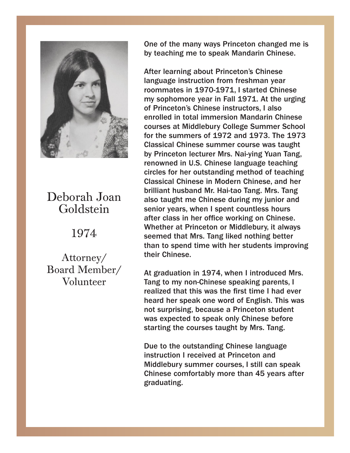

## Goldstein Deborah Joan

#### $1074$  $\overline{\phantom{a}}$ 1974

Board Member/  $\sqrt{8}$ Attorney/ Volunteer

One of the many ways Princeton changed me is One of the many ways Princeton changed me is by teaching me to speak Mandarin Chinese. by teaching me to speak Mandarin Chinese.

After learning about Princeton's Chinese After learning about Princeton's Chinese language instruction from freshman year language instruction from freshman year commates in  $1970$ -1971, I started Chinese model is  $1974$ ny sophomore year in Fall 1971. At the urging<br>of Drinaston's Chinago instructors, Lolse Princeton's Chinese instructors, I also enrolled enrolled in total immersion Mandarin Chinese in total immersion Mandarin Chinese courses at courses at Middlebury College Summer School Middlebury College Summer School for the for the summers of 1972 and 1973. The 1973 summers of 1972 and 1973. The 1973 Classical Chinese summer course was taught by Princeton lecturer Mrs. Nai-ying Yuan Tang, renowned in U.S. Chinese language teaching circles for her outstanding method of teaching Classical Chinese in Modern Chinese, and her brilliant husband Mr. Hai-tao Tang. Mrs. Tang also taught me Chinese during my junior and senior years, when I spent countless hours after class in her office working on Chinese. Whether at Princeton or Middlebury, it always seemed that Mrs. Tang liked nothing better that Mrs. Tang liked nothing better than to than to spend time with her students improving spend time with the students in proving the students in the students in the students in the students in the students in the students of  $\sim$ roommates in 1970-1971, I started Chinese my sophomore year in Fall 1971. At the urging of Princeton's Chinese instructors, I also their Chinese.

 $\frac{1}{2}$  cuadua rang to my non onmese speaking parents, realized that this was the first time I had ever roanzod that this was the mot this rinda sver<br>heard her speak one word of English. This was not surprising, because a Princeton student was expected to speak only Chinese before starting the courses taught by Mrs. Tang. expected to speak only Chinese before starting At graduation in 1974, when I introduced Mrs. Tang to my non-Chinese speaking parents, I

Due to the outstanding Chinese language Middlebury summer courses, I still can speak Chinese comfortably more than 45 years after graduating. instruction I received at Princeton and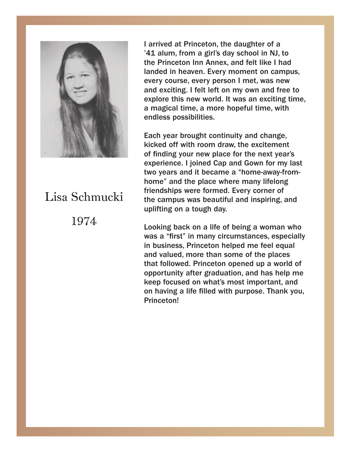

# 1974 1974 Lisa Schmucki

I arrived at Princeton, the daughter of a '41 alum, from a girl's day school in NJ, to the Princeton Inn Annex, and felt like I had landed in heaven. Every moment on campus, every course, every person I met, was new exciting. I felt left on my own and free to and exciting. I felt left on my own and free to explore this new world. It was an exciting time, a magical time, a more hopeful time, with a magical time, a more hopeful time, with endless possibilities. endless possibilities.

Each year brought continuity and change, kicked off with room draw, the excitement moned on min room draw, the excrement<br>of finding your new place for the next year's experience. I joined Cap and Gown for my last two years and it became a "home-away-fromhome" and the place where many lifelong friendships were formed. Every corner of the campus was beautiful and inspiring, and uplifting on a tough day. Each year brought continuity and change,

was a "first" in many circumstances, especially in business, Princeton helped me feel equal and valued, more than some of the places that followed. Princeton opened up a world of opportunity after graduation, and has help me veep rocused on what's most important, and<br>we having a life filled with numeee. Thank you on having a life filled with purpose. Thank you,<br>Prineston!  $h_{\text{inoc}}(x)$ Looking back on a life of being a woman who keep focused on what's most important, and Princeton!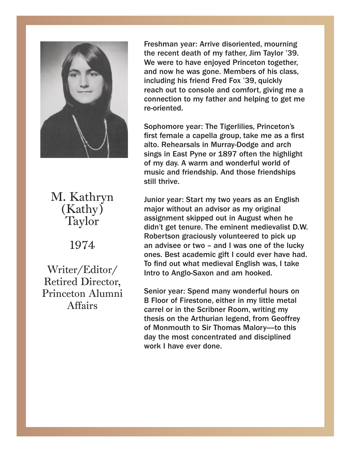

 $(Kathy)$ Taylor M. Kathryn

1974

1974 Princeton Alumni Affairs Writer/Editor/ Retired Director,

Freshman year: Arrive disoriented, mourning Freshman year: Arrive disoriented, mourning the recent death of my father, Jim Taylor '39. the recent death of my father, Jim Taylor '39. We were to have enjoyed Princeton together, We were to have enjoyed Princeton together, and now he was gone. Members of his class, and now he was gone. Members of his class, including his friend Fred Fox '39, quickly reach out to console and comfort, giving me a connection to my father and helping to get me<br>rearianted re-oriented. re-oriented.

Sophomore year: The Tigerlilies, Princeton's first female a capella group, take me as a first alto. Rehearsals in Murray-Dodge and arch sings in East Pyne or 1897 often the highlight of my day. A warm and wonderful world of music and friendship. And those friendships still thrive. The friendships still thrive. Sophomore year: The Tigerlilies, Princeton's

major without an advisor as my original assignment skipped out in August when he didn't get tenure. The eminent medievalist D.W. didn't get tenure. The eminent medium of the eminent medium of the eminent medium of the eminent medium of the eminent of the eminent of the eminent of the eminent of the eminent of the eminent of the eminent of the eminen an advisee of two – and I was one of the lucky<br>ones. Best academic gift I could ever have had. ones. Best adddenne ghe'r codid ever nave nad.<br>To find out what medieval English was, I take It also academic moderal English Mas, I can<br>Intro to Anglo-Saxon and am hooked. To find out what medicines was dependent was deviated by the set of the set of the set of the set of the set of the set of the set of the set of the set of the set of the set of the set of the set of the set of the set of Junior year: Start my two years as an English Robertson graciously volunteered to pick up an advisee or two – and I was one of the lucky

Senior year: Spend many wonderful hours on carrel or in the Scribner Room, writing my thesis on the Arthurian legend, from Geoffrey of Monmouth to Sir Thomas Malory—to this day the most concentrated and disciplined work I have ever done. B Floor of Firestone, either in my little metal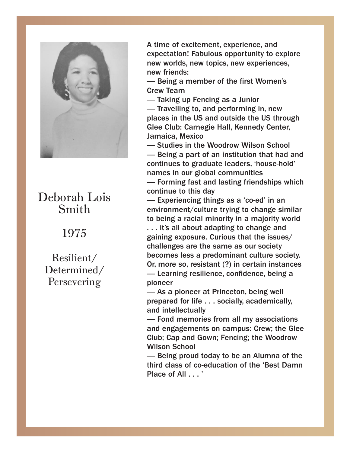

# Smith Deborah Lois

1975

Persevering Resilient/ Determined/

A time of excitement, experience, and A time of excitement, experience, and expectation! Fabulous opportunity to explore expectation! Fabulous opportunity to explore new worlds, new topics, new experiences, new new worlds, new topics, new experiences, new friends:

— Being a member of the first Women's<br>Crew T Crew Team

— Taking up Fencing as a Junior<br>— Travelling to, and performing in, new - Travelling to, and performing in, new places places in the US and outside the US through places in the US and outside the US through<br>Glee Club: Carnegie Hall, Kennedy Center, Glee Club: Carnegie Hall, Kennedy Center, Jamaica, Mexico — Taking up Fencing as a Junior

— Studies in the Woodrow Wilson School — Being a part of an institution that had and continues to graduate leaders, 'house-hold' names in our global communities - Forming fast and lasting friendships which

continue to this day

— Experiencing things as a 'co-ed' in an environment/culture trying to change similar to being a racial minority in a majority world  $\begin{array}{c} \begin{array}{c} \text{i.} \end{array} \end{array}$  it's all about adapting to change and gaining exposure. Curious that the issues/<br>shallanges are the same as aur society. challenges are the same as our society<br>becomes less a predominant culture society. accomes less a predommant callare society.<br>Or, more so, resistant (?) in certain instances or, more so, resistant (1) in cortain instances<br>— Learning resilience, confidence, being a pioneer<br>
pioneer challenges are the same as our society

.<br>— As a pioneer at Princeton, being well prepared for life . . . socially, academically, and intellectually and well as a pioneer

— Fond memories from all my associations and engagements on campus: Crew; the Glee Club; Cap and Gown; Fencing; the Woodrow engagements on campus: Crew; the Glee Club; the Glee Club; the Glee Club; the Glee Club; the Glee Club; the Glee Club; the Glee Club; the Glee Club; the Glee Club; the Glee Club; the Glee Club; the Glee Club; the Glee Club

— Being proud today to be an Alumna of the third class of co-education of the 'Best Damn - Being provided to be an Alumna of the annual today to be an Alumna of the set of the set of the set of the set of the set of the set of the set of the set of the set of the set of the set of the set of the set of the se Place of All . . . '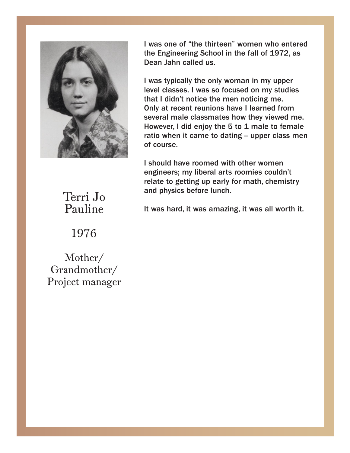

I was one of "the thirteen" women who entered the Engineering School in the fall of 1972, as the Engineering School in the fall of 1972, as Dean Jahn called us. Dean Jahn called us.

I was typically the only woman in my upper<br>level classes. I was so focused on my studies classes. I was so focused on my studies that I that I didn't notice the men noticing me. didn't notice the men noticing me. Only at Only at recent reunions have I learned from several male classmates how they viewed me. However, I did enjoy the 5 to 1 male to female ratio when it came to dating -- upper class men of course. I was typically the only woman in my upper

engineers; my liberal arts roomies couldn't relate to getting up early for math, chemistry and physics before lunch. I should have roomed with other women

and physics and physics in the lunch. It was hard, it was amazing, it was all worth it.

Pauline Terri Jo

1976

Project manager Grandmother/ Mother/ Grandmother/